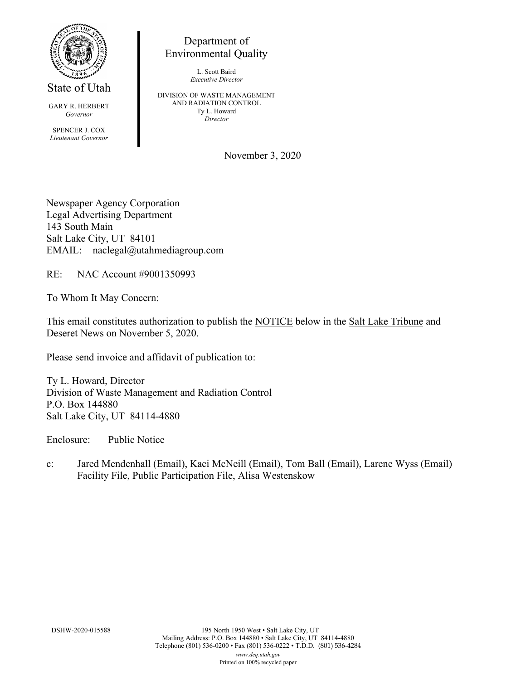

Environmental Quality

State of Utah

GARY R. HERBERT *Governor*

SPENCER J. COX *Lieutenant Governor*

L. Scott Baird *Executive Director*

Department of

DIVISION OF WASTE MANAGEMENT AND RADIATION CONTROL Ty L. Howard *Director*

November 3, 2020

Newspaper Agency Corporation Legal Advertising Department 143 South Main Salt Lake City, UT 84101 EMAIL: naclegal@utahmediagroup.com

RE: NAC Account #9001350993

To Whom It May Concern:

This email constitutes authorization to publish the NOTICE below in the Salt Lake Tribune and Deseret News on November 5, 2020.

Please send invoice and affidavit of publication to:

Ty L. Howard, Director Division of Waste Management and Radiation Control P.O. Box 144880 Salt Lake City, UT 84114-4880

Enclosure: Public Notice

c: Jared Mendenhall (Email), Kaci McNeill (Email), Tom Ball (Email), Larene Wyss (Email) Facility File, Public Participation File, Alisa Westenskow